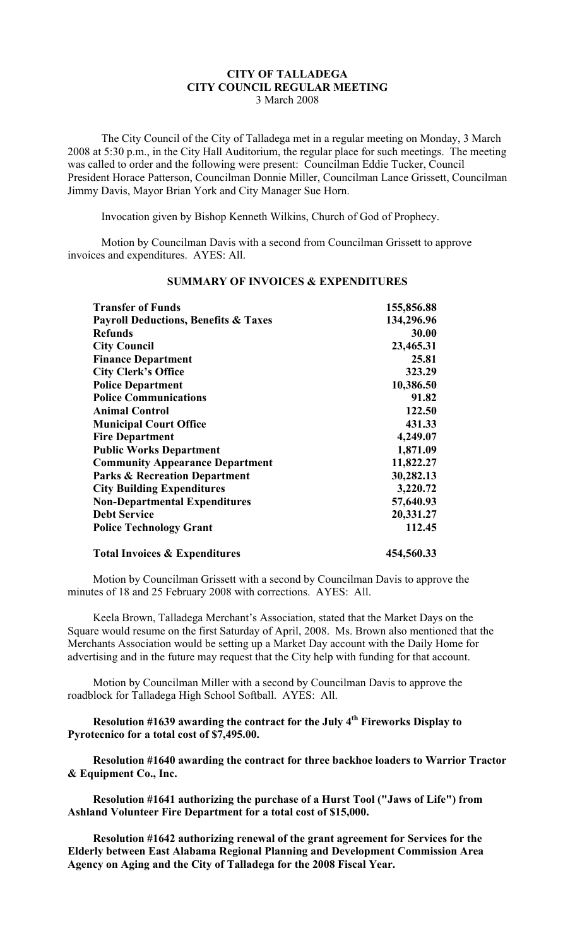## **CITY OF TALLADEGA CITY COUNCIL REGULAR MEETING** 3 March 2008

The City Council of the City of Talladega met in a regular meeting on Monday, 3 March 2008 at 5:30 p.m., in the City Hall Auditorium, the regular place for such meetings. The meeting was called to order and the following were present: Councilman Eddie Tucker, Council President Horace Patterson, Councilman Donnie Miller, Councilman Lance Grissett, Councilman Jimmy Davis, Mayor Brian York and City Manager Sue Horn.

Invocation given by Bishop Kenneth Wilkins, Church of God of Prophecy.

Motion by Councilman Davis with a second from Councilman Grissett to approve invoices and expenditures. AYES: All.

| <b>Transfer of Funds</b>                                                         | 155,856.88                   |                                        |           |
|----------------------------------------------------------------------------------|------------------------------|----------------------------------------|-----------|
| <b>Payroll Deductions, Benefits &amp; Taxes</b>                                  | 134,296.96                   |                                        |           |
| <b>Refunds</b><br><b>City Council</b>                                            | 30.00<br>23,465.31           |                                        |           |
|                                                                                  |                              | <b>Finance Department</b>              | 25.81     |
| <b>City Clerk's Office</b>                                                       | 323.29                       |                                        |           |
| <b>Police Department</b>                                                         | 10,386.50                    |                                        |           |
| <b>Police Communications</b>                                                     | 91.82                        |                                        |           |
| <b>Animal Control</b><br><b>Municipal Court Office</b><br><b>Fire Department</b> | 122.50<br>431.33<br>4,249.07 |                                        |           |
|                                                                                  |                              | <b>Public Works Department</b>         | 1,871.09  |
|                                                                                  |                              | <b>Community Appearance Department</b> | 11,822.27 |
| <b>Parks &amp; Recreation Department</b>                                         | 30,282.13                    |                                        |           |
| <b>City Building Expenditures</b>                                                | 3,220.72                     |                                        |           |
| <b>Non-Departmental Expenditures</b>                                             | 57,640.93                    |                                        |           |
| <b>Debt Service</b>                                                              | 20,331.27                    |                                        |           |
| <b>Police Technology Grant</b>                                                   | 112.45                       |                                        |           |
| <b>Total Invoices &amp; Expenditures</b>                                         | 454,560.33                   |                                        |           |

## **SUMMARY OF INVOICES & EXPENDITURES**

Motion by Councilman Grissett with a second by Councilman Davis to approve the minutes of 18 and 25 February 2008 with corrections. AYES: All.

Keela Brown, Talladega Merchant's Association, stated that the Market Days on the Square would resume on the first Saturday of April, 2008. Ms. Brown also mentioned that the Merchants Association would be setting up a Market Day account with the Daily Home for advertising and in the future may request that the City help with funding for that account.

Motion by Councilman Miller with a second by Councilman Davis to approve the roadblock for Talladega High School Softball. AYES: All.

**Resolution #1639 awarding the contract for the July 4th Fireworks Display to Pyrotecnico for a total cost of \$7,495.00.**

**Resolution #1640 awarding the contract for three backhoe loaders to Warrior Tractor & Equipment Co., Inc.**

**Resolution #1641 authorizing the purchase of a Hurst Tool ("Jaws of Life") from Ashland Volunteer Fire Department for a total cost of \$15,000.**

**Resolution #1642 authorizing renewal of the grant agreement for Services for the Elderly between East Alabama Regional Planning and Development Commission Area Agency on Aging and the City of Talladega for the 2008 Fiscal Year.**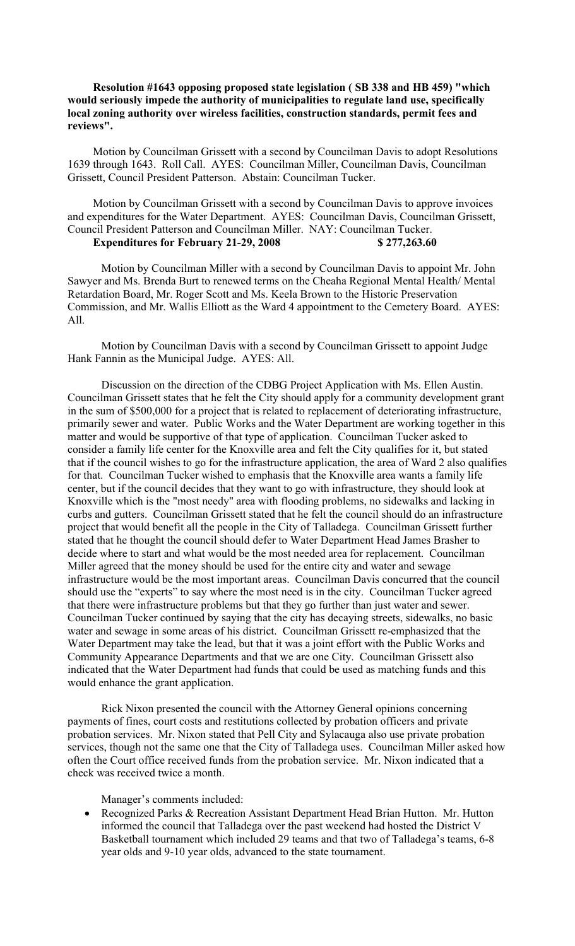## **Resolution #1643 opposing proposed state legislation ( SB 338 and HB 459) "which would seriously impede the authority of municipalities to regulate land use, specifically local zoning authority over wireless facilities, construction standards, permit fees and reviews".**

Motion by Councilman Grissett with a second by Councilman Davis to adopt Resolutions 1639 through 1643. Roll Call. AYES: Councilman Miller, Councilman Davis, Councilman Grissett, Council President Patterson. Abstain: Councilman Tucker.

Motion by Councilman Grissett with a second by Councilman Davis to approve invoices and expenditures for the Water Department. AYES: Councilman Davis, Councilman Grissett, Council President Patterson and Councilman Miller. NAY: Councilman Tucker. **Expenditures for February 21-29, 2008 \$ 277,263.60**

Motion by Councilman Miller with a second by Councilman Davis to appoint Mr. John Sawyer and Ms. Brenda Burt to renewed terms on the Cheaha Regional Mental Health/ Mental Retardation Board, Mr. Roger Scott and Ms. Keela Brown to the Historic Preservation Commission, and Mr. Wallis Elliott as the Ward 4 appointment to the Cemetery Board. AYES: All.

Motion by Councilman Davis with a second by Councilman Grissett to appoint Judge Hank Fannin as the Municipal Judge. AYES: All.

Discussion on the direction of the CDBG Project Application with Ms. Ellen Austin. Councilman Grissett states that he felt the City should apply for a community development grant in the sum of \$500,000 for a project that is related to replacement of deteriorating infrastructure, primarily sewer and water. Public Works and the Water Department are working together in this matter and would be supportive of that type of application. Councilman Tucker asked to consider a family life center for the Knoxville area and felt the City qualifies for it, but stated that if the council wishes to go for the infrastructure application, the area of Ward 2 also qualifies for that. Councilman Tucker wished to emphasis that the Knoxville area wants a family life center, but if the council decides that they want to go with infrastructure, they should look at Knoxville which is the "most needy" area with flooding problems, no sidewalks and lacking in curbs and gutters. Councilman Grissett stated that he felt the council should do an infrastructure project that would benefit all the people in the City of Talladega. Councilman Grissett further stated that he thought the council should defer to Water Department Head James Brasher to decide where to start and what would be the most needed area for replacement. Councilman Miller agreed that the money should be used for the entire city and water and sewage infrastructure would be the most important areas. Councilman Davis concurred that the council should use the "experts" to say where the most need is in the city. Councilman Tucker agreed that there were infrastructure problems but that they go further than just water and sewer. Councilman Tucker continued by saying that the city has decaying streets, sidewalks, no basic water and sewage in some areas of his district. Councilman Grissett re-emphasized that the Water Department may take the lead, but that it was a joint effort with the Public Works and Community Appearance Departments and that we are one City. Councilman Grissett also indicated that the Water Department had funds that could be used as matching funds and this would enhance the grant application.

Rick Nixon presented the council with the Attorney General opinions concerning payments of fines, court costs and restitutions collected by probation officers and private probation services. Mr. Nixon stated that Pell City and Sylacauga also use private probation services, though not the same one that the City of Talladega uses. Councilman Miller asked how often the Court office received funds from the probation service. Mr. Nixon indicated that a check was received twice a month.

Manager's comments included:

 Recognized Parks & Recreation Assistant Department Head Brian Hutton. Mr. Hutton informed the council that Talladega over the past weekend had hosted the District V Basketball tournament which included 29 teams and that two of Talladega's teams, 6-8 year olds and 9-10 year olds, advanced to the state tournament.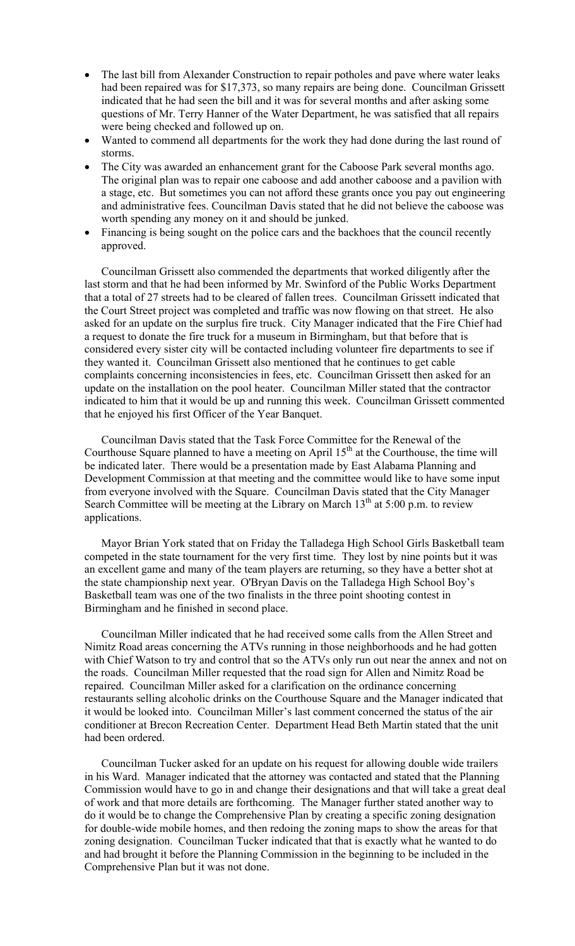- The last bill from Alexander Construction to repair potholes and pave where water leaks had been repaired was for \$17,373, so many repairs are being done. Councilman Grissett indicated that he had seen the bill and it was for several months and after asking some questions of Mr. Terry Hanner of the Water Department, he was satisfied that all repairs were being checked and followed up on.
- Wanted to commend all departments for the work they had done during the last round of storms.
- The City was awarded an enhancement grant for the Caboose Park several months ago. The original plan was to repair one caboose and add another caboose and a pavilion with a stage, etc. But sometimes you can not afford these grants once you pay out engineering and administrative fees. Councilman Davis stated that he did not believe the caboose was worth spending any money on it and should be junked.
- Financing is being sought on the police cars and the backhoes that the council recently approved.

Councilman Grissett also commended the departments that worked diligently after the last storm and that he had been informed by Mr. Swinford of the Public Works Department that a total of 27 streets had to be cleared of fallen trees. Councilman Grissett indicated that the Court Street project was completed and traffic was now flowing on that street. He also asked for an update on the surplus fire truck. City Manager indicated that the Fire Chief had a request to donate the fire truck for a museum in Birmingham, but that before that is considered every sister city will be contacted including volunteer fire departments to see if they wanted it. Councilman Grissett also mentioned that he continues to get cable complaints concerning inconsistencies in fees, etc. Councilman Grissett then asked for an update on the installation on the pool heater. Councilman Miller stated that the contractor indicated to him that it would be up and running this week. Councilman Grissett commented that he enjoyed his first Officer of the Year Banquet.

Councilman Davis stated that the Task Force Committee for the Renewal of the Courthouse Square planned to have a meeting on April  $15<sup>th</sup>$  at the Courthouse, the time will be indicated later. There would be a presentation made by East Alabama Planning and Development Commission at that meeting and the committee would like to have some input from everyone involved with the Square. Councilman Davis stated that the City Manager Search Committee will be meeting at the Library on March  $13<sup>th</sup>$  at 5:00 p.m. to review applications.

Mayor Brian York stated that on Friday the Talladega High School Girls Basketball team competed in the state tournament for the very first time. They lost by nine points but it was an excellent game and many of the team players are returning, so they have a better shot at the state championship next year. O'Bryan Davis on the Talladega High School Boy's Basketball team was one of the two finalists in the three point shooting contest in Birmingham and he finished in second place.

Councilman Miller indicated that he had received some calls from the Allen Street and Nimitz Road areas concerning the ATVs running in those neighborhoods and he had gotten with Chief Watson to try and control that so the ATVs only run out near the annex and not on the roads. Councilman Miller requested that the road sign for Allen and Nimitz Road be repaired. Councilman Miller asked for a clarification on the ordinance concerning restaurants selling alcoholic drinks on the Courthouse Square and the Manager indicated that it would be looked into. Councilman Miller's last comment concerned the status of the air conditioner at Brecon Recreation Center. Department Head Beth Martin stated that the unit had been ordered.

Councilman Tucker asked for an update on his request for allowing double wide trailers in his Ward. Manager indicated that the attorney was contacted and stated that the Planning Commission would have to go in and change their designations and that will take a great deal of work and that more details are forthcoming. The Manager further stated another way to do it would be to change the Comprehensive Plan by creating a specific zoning designation for double-wide mobile homes, and then redoing the zoning maps to show the areas for that zoning designation. Councilman Tucker indicated that that is exactly what he wanted to do and had brought it before the Planning Commission in the beginning to be included in the Comprehensive Plan but it was not done.